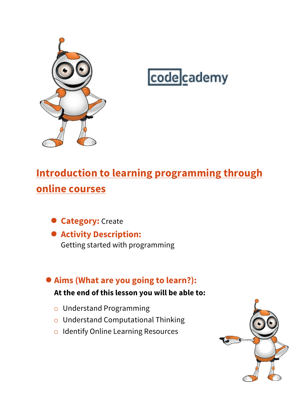

# codecademy

# **Introduction to learning programming through online courses**

- **Category:** Create
- **Activity Description:** Getting started with programming

# ●**Aims (What are you going to learn?):**

#### **At the end of this lesson you will be able to:**

- o Understand Programming
- o Understand Computational Thinking
- o Identify Online Learning Resources

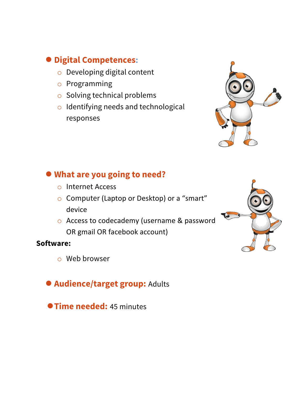### ● **Digital Competences:**

- o Developing digital content
- o Programming
- o Solving technical problems
- o Identifying needs and technological responses



#### ● **What are you going to need?**

- o Internet Access
- o Computer (Laptop or Desktop) or a "smart" device
- o Access to codecademy (username & password OR gmail OR facebook account)

#### **Software:**

- o Web browser
- ●**Audience/target group:** Adults
- ●**Time needed:** <sup>45</sup> minutes

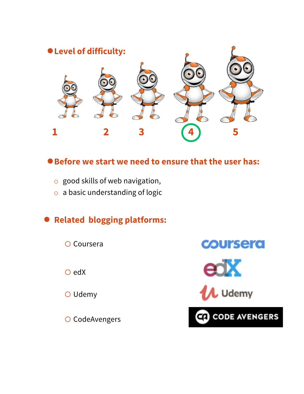

#### ●**Before we start we need to ensure that the user has:**

- $\circ$  good skills of web navigation,
- o a basic understanding of logic

# ● **Related blogging platforms:**

o Coursera

o edX

o Udemy

O CodeAvengers



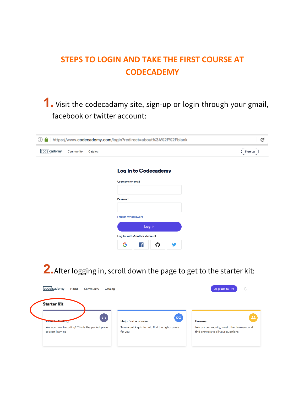## **STEPS TO LOGIN AND TAKE THE FIRST COURSE AT CODECADEMY**

**1.** Visit the codecadamy site, sign-up or login through your gmail, facebook or twitter account:

| https://www.codecademy.com/login?redirect=about%3A%2F%2Fblank<br>(i) |           |         |                                       |         |  |
|----------------------------------------------------------------------|-----------|---------|---------------------------------------|---------|--|
| codecademy                                                           | Community | Catalog |                                       | Sign up |  |
|                                                                      |           |         | Log In to Codecademy                  |         |  |
|                                                                      |           |         | <b>Username or email</b>              |         |  |
|                                                                      |           |         | Password                              |         |  |
|                                                                      |           |         | I forgot my password                  |         |  |
|                                                                      |           |         | Log in<br>Log In with Another Account |         |  |
|                                                                      |           |         | G<br>$\overline{f}$<br>ဂ<br>w         |         |  |

**2.**After logging in, scroll down the page to get to the starter kit:

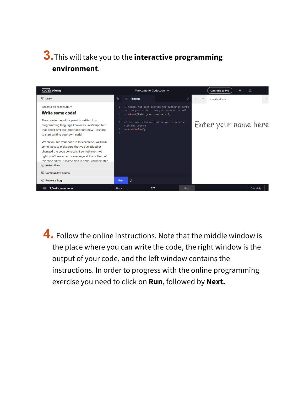# **3.**This will take you to the **interactive programming environment**.



**4.** Follow the online instructions. Note that the middle window is the place where you can write the code, the right window is the output of your code, and the left window contains the instructions. In order to progress with the online programming exercise you need to click on **Run**, followed by **Next.**